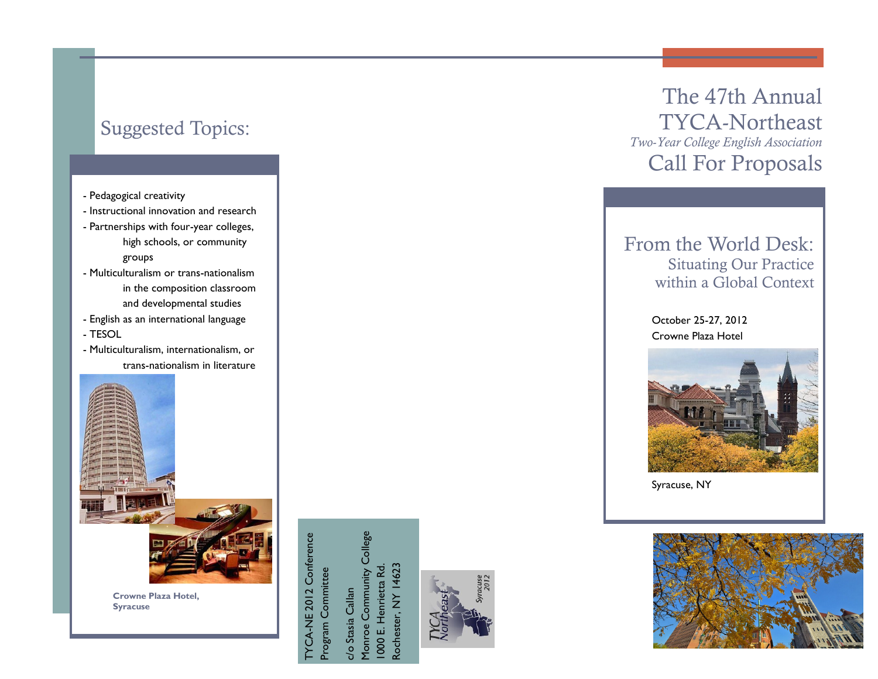## Suggested Topics:

- Pedagogical creativity
- Instructional innovation and research
- Partnerships with four-year colleges, high schools, or community groups
- Multiculturalism or trans-nationalism in the composition classroom and developmental studies
- English as an international language
- TESOL
- Multiculturalism, internationalism, or trans-nationalism in literature



**Crowne Plaza Hotel, Syracuse**

TYCA-NE 2012 Conference YCA-NE 2012 Conference Program Committee Program Committee

Monroe Community College Monroe Community College 1000 E. Henrietta Rd. Rochester, NY 14623 1000 E. Henrietta Rd. Rochester, NY 14623c/o Stasia Callan c/o Stasia Callan





### From the World Desk: Situating Our Practice within a Global Context

October 25-27, 2012 Crowne Plaza Hotel



Syracuse, NY